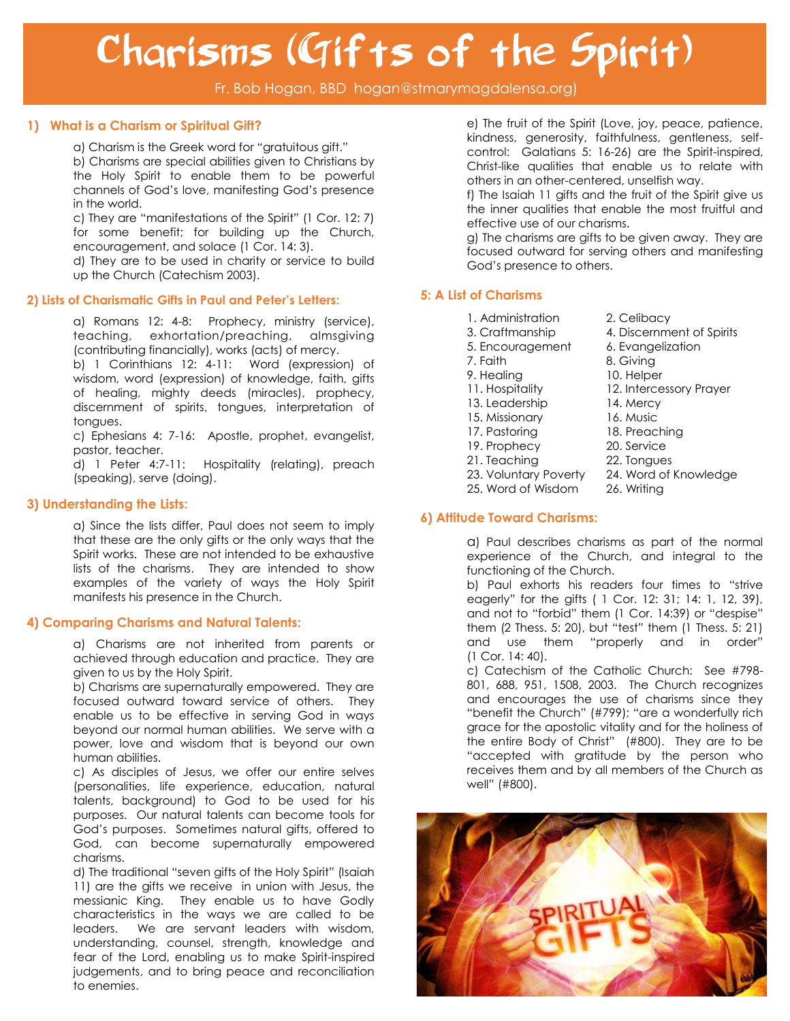# Charisms (Gifts of the Spirit)

Fr. Bob Hogan, BBD hogan@stmarymagdalensa.org)

### **1) What is a Charism or Spiritual Gift?**

a) Charism is the Greek word for "gratuitous gift."

b) Charisms are special abilities given to Christians by the Holy Spirit to enable them to be powerful channels of God's love, manifesting God's presence in the world.

c) They are "manifestations of the Spirit" (1 Cor. 12: 7) for some benefit; for building up the Church, encouragement, and solace (1 Cor. 14: 3).

d) They are to be used in charity or service to build up the Church (Catechism 2003).

### **2) Lists of Charismatic Gifts in Paul and Peter's Letters:**

a) Romans 12: 4-8: Prophecy, ministry (service), teaching, exhortation/preaching, almsgiving (contributing financially), works (acts) of mercy.

b) 1 Corinthians 12: 4-11: Word (expression) of wisdom, word (expression) of knowledge, faith, gifts of healing, mighty deeds (miracles), prophecy, discernment of spirits, tongues, interpretation of tongues.

c) Ephesians 4: 7-16: Apostle, prophet, evangelist, pastor, teacher.

d) 1 Peter 4:7-11: Hospitality (relating), preach (speaking), serve (doing).

### **3) Understanding the Lists:**

a) Since the lists differ, Paul does not seem to imply that these are the only gifts or the only ways that the Spirit works. These are not intended to be exhaustive lists of the charisms. They are intended to show examples of the variety of ways the Holy Spirit manifests his presence in the Church.

### **4) Comparing Charisms and Natural Talents:**

a) Charisms are not inherited from parents or achieved through education and practice. They are given to us by the Holy Spirit.

b) Charisms are supernaturally empowered. They are focused outward toward service of others. They enable us to be effective in serving God in ways beyond our normal human abilities. We serve with a power, love and wisdom that is beyond our own human abilities.

c) As disciples of Jesus, we offer our entire selves (personalities, life experience, education, natural talents, background) to God to be used for his purposes. Our natural talents can become tools for God's purposes. Sometimes natural gifts, offered to God, can become supernaturally empowered charisms.

d) The traditional "seven gifts of the Holy Spirit" (Isaiah 11) are the gifts we receive in union with Jesus, the messianic King. They enable us to have Godly characteristics in the ways we are called to be leaders. We are servant leaders with wisdom, understanding, counsel, strength, knowledge and fear of the Lord, enabling us to make Spirit-inspired judgements, and to bring peace and reconciliation to enemies.

e) The fruit of the Spirit (Love, joy, peace, patience, kindness, generosity, faithfulness, gentleness, selfcontrol: Galatians 5: 16-26) are the Spirit-inspired, Christ-like qualities that enable us to relate with others in an other-centered, unselfish way.

f) The Isaiah 11 gifts and the fruit of the Spirit give us the inner qualities that enable the most fruitful and effective use of our charisms.

g) The charisms are gifts to be given away. They are focused outward for serving others and manifesting God's presence to others.

### **5: A List of Charisms**

- 1. Administration 2. Celibacy
- 3. Craftmanship 4. Discernment of Spirits
- 
- 
- 9. Healing 10. Helper
- 
- 13. Leadership 14. Mercy
- 15. Missionary 16. Music
- 
- 
- 
- 
- 
- 5. Encouragement 6. Evangelization
- 7. Faith 8. Giving
	-
- 11. Hospitality 12. Intercessory Prayer
	-
	-
- 17. Pastoring 18. Preaching
- 19. Prophecy 20. Service
- 21. Teaching 22. Tongues
- 23. Voluntary Poverty 24. Word of Knowledge
- 25. Word of Wisdom 26. Writing

### **6) Attitude Toward Charisms:**

a) Paul describes charisms as part of the normal experience of the Church, and integral to the functioning of the Church.

b) Paul exhorts his readers four times to "strive eagerly" for the gifts ( 1 Cor. 12: 31; 14: 1, 12, 39), and not to "forbid" them (1 Cor. 14:39) or "despise" them (2 Thess. 5: 20), but "test" them (1 Thess. 5: 21) and use them "properly and in order" (1 Cor. 14: 40).

c) Catechism of the Catholic Church: See #798- 801, 688, 951, 1508, 2003. The Church recognizes and encourages the use of charisms since they "benefit the Church" (#799); "are a wonderfully rich grace for the apostolic vitality and for the holiness of the entire Body of Christ" (#800). They are to be "accepted with gratitude by the person who receives them and by all members of the Church as well" (#800).